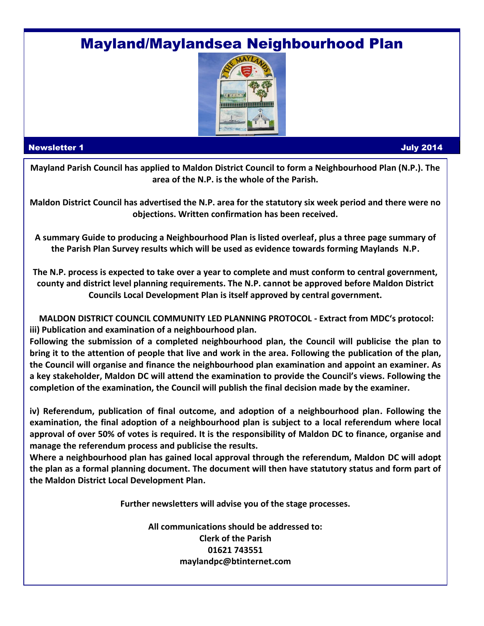# Mayland/Maylandsea Neighbourhood Plan



#### Newsletter 1 July 2014

**Mayland Parish Council has applied to Maldon District Council to form a Neighbourhood Plan (N.P.). The area of the N.P. is the whole of the Parish.** 

**Maldon District Council has advertised the N.P. area for the statutory six week period and there were no objections. Written confirmation has been received.**

**A summary Guide to producing a Neighbourhood Plan is listed overleaf, plus a three page summary of the Parish Plan Survey results which will be used as evidence towards forming Maylands N.P.**

**The N.P. process is expected to take over a year to complete and must conform to central government, county and district level planning requirements. The N.P. cannot be approved before Maldon District Councils Local Development Plan is itself approved by central government.**

**MALDON DISTRICT COUNCIL COMMUNITY LED PLANNING PROTOCOL - Extract from MDC's protocol: iii) Publication and examination of a neighbourhood plan.**

**Following the submission of a completed neighbourhood plan, the Council will publicise the plan to bring it to the attention of people that live and work in the area. Following the publication of the plan, the Council will organise and finance the neighbourhood plan examination and appoint an examiner. As a key stakeholder, Maldon DC will attend the examination to provide the Council's views. Following the completion of the examination, the Council will publish the final decision made by the examiner.**

**iv) Referendum, publication of final outcome, and adoption of a neighbourhood plan. Following the examination, the final adoption of a neighbourhood plan is subject to a local referendum where local approval of over 50% of votes is required. It is the responsibility of Maldon DC to finance, organise and manage the referendum process and publicise the results.**

**Where a neighbourhood plan has gained local approval through the referendum, Maldon DC will adopt the plan as a formal planning document. The document will then have statutory status and form part of the Maldon District Local Development Plan.**

**Further newsletters will advise you of the stage processes.**

**All communications should be addressed to: Clerk of the Parish 01621 743551 maylandpc@btinternet.com**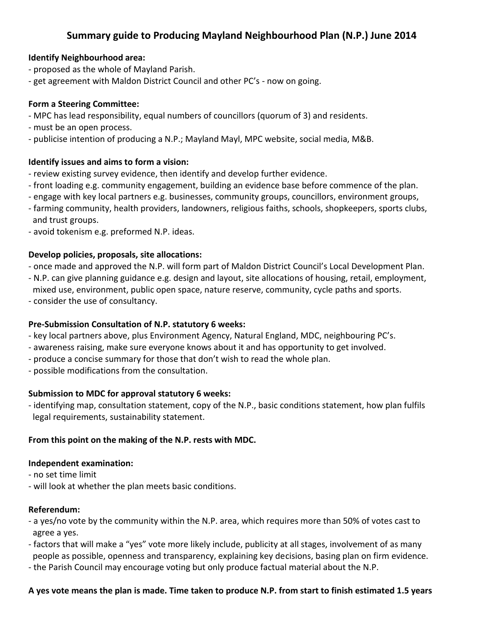## **Summary guide to Producing Mayland Neighbourhood Plan (N.P.) June 2014**

## **Identify Neighbourhood area:**

- proposed as the whole of Mayland Parish.
- get agreement with Maldon District Council and other PC's now on going.

#### **Form a Steering Committee:**

- MPC has lead responsibility, equal numbers of councillors (quorum of 3) and residents.
- must be an open process.
- publicise intention of producing a N.P.; Mayland Mayl, MPC website, social media, M&B.

#### **Identify issues and aims to form a vision:**

- review existing survey evidence, then identify and develop further evidence.
- front loading e.g. community engagement, building an evidence base before commence of the plan.
- engage with key local partners e.g. businesses, community groups, councillors, environment groups,
- farming community, health providers, landowners, religious faiths, schools, shopkeepers, sports clubs, and trust groups.
- avoid tokenism e.g. preformed N.P. ideas.

#### **Develop policies, proposals, site allocations:**

- once made and approved the N.P. will form part of Maldon District Council's Local Development Plan.
- N.P. can give planning guidance e.g. design and layout, site allocations of housing, retail, employment, mixed use, environment, public open space, nature reserve, community, cycle paths and sports.
- consider the use of consultancy.

## **Pre-Submission Consultation of N.P. statutory 6 weeks:**

- key local partners above, plus Environment Agency, Natural England, MDC, neighbouring PC's.
- awareness raising, make sure everyone knows about it and has opportunity to get involved.
- produce a concise summary for those that don't wish to read the whole plan.
- possible modifications from the consultation.

## **Submission to MDC for approval statutory 6 weeks:**

- identifying map, consultation statement, copy of the N.P., basic conditions statement, how plan fulfils legal requirements, sustainability statement.

#### **From this point on the making of the N.P. rests with MDC.**

#### **Independent examination:**

- no set time limit
- will look at whether the plan meets basic conditions.

#### **Referendum:**

- a yes/no vote by the community within the N.P. area, which requires more than 50% of votes cast to agree a yes.
- factors that will make a "yes" vote more likely include, publicity at all stages, involvement of as many people as possible, openness and transparency, explaining key decisions, basing plan on firm evidence.
- the Parish Council may encourage voting but only produce factual material about the N.P.

#### **A yes vote means the plan is made. Time taken to produce N.P. from start to finish estimated 1.5 years**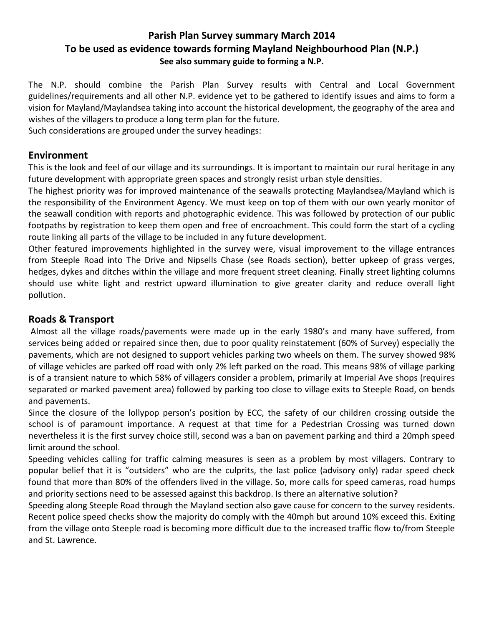## **Parish Plan Survey summary March 2014 To be used as evidence towards forming Mayland Neighbourhood Plan (N.P.) See also summary guide to forming a N.P.**

The N.P. should combine the Parish Plan Survey results with Central and Local Government guidelines/requirements and all other N.P. evidence yet to be gathered to identify issues and aims to form a vision for Mayland/Maylandsea taking into account the historical development, the geography of the area and wishes of the villagers to produce a long term plan for the future.

Such considerations are grouped under the survey headings:

## **Environment**

This is the look and feel of our village and its surroundings. It is important to maintain our rural heritage in any future development with appropriate green spaces and strongly resist urban style densities.

The highest priority was for improved maintenance of the seawalls protecting Maylandsea/Mayland which is the responsibility of the Environment Agency. We must keep on top of them with our own yearly monitor of the seawall condition with reports and photographic evidence. This was followed by protection of our public footpaths by registration to keep them open and free of encroachment. This could form the start of a cycling route linking all parts of the village to be included in any future development.

Other featured improvements highlighted in the survey were, visual improvement to the village entrances from Steeple Road into The Drive and Nipsells Chase (see Roads section), better upkeep of grass verges, hedges, dykes and ditches within the village and more frequent street cleaning. Finally street lighting columns should use white light and restrict upward illumination to give greater clarity and reduce overall light pollution.

## **Roads & Transport**

Almost all the village roads/pavements were made up in the early 1980's and many have suffered, from services being added or repaired since then, due to poor quality reinstatement (60% of Survey) especially the pavements, which are not designed to support vehicles parking two wheels on them. The survey showed 98% of village vehicles are parked off road with only 2% left parked on the road. This means 98% of village parking is of a transient nature to which 58% of villagers consider a problem, primarily at Imperial Ave shops (requires separated or marked pavement area) followed by parking too close to village exits to Steeple Road, on bends and pavements.

Since the closure of the lollypop person's position by ECC, the safety of our children crossing outside the school is of paramount importance. A request at that time for a Pedestrian Crossing was turned down nevertheless it is the first survey choice still, second was a ban on pavement parking and third a 20mph speed limit around the school.

Speeding vehicles calling for traffic calming measures is seen as a problem by most villagers. Contrary to popular belief that it is "outsiders" who are the culprits, the last police (advisory only) radar speed check found that more than 80% of the offenders lived in the village. So, more calls for speed cameras, road humps and priority sections need to be assessed against this backdrop. Is there an alternative solution?

Speeding along Steeple Road through the Mayland section also gave cause for concern to the survey residents. Recent police speed checks show the majority do comply with the 40mph but around 10% exceed this. Exiting from the village onto Steeple road is becoming more difficult due to the increased traffic flow to/from Steeple and St. Lawrence.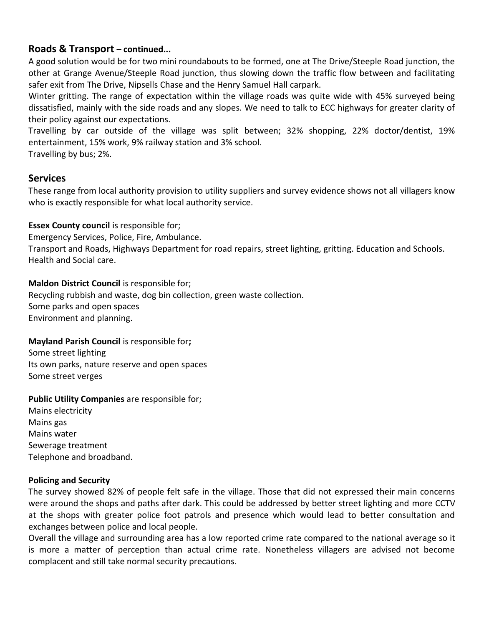## **Roads & Transport – continued...**

A good solution would be for two mini roundabouts to be formed, one at The Drive/Steeple Road junction, the other at Grange Avenue/Steeple Road junction, thus slowing down the traffic flow between and facilitating safer exit from The Drive, Nipsells Chase and the Henry Samuel Hall carpark.

Winter gritting. The range of expectation within the village roads was quite wide with 45% surveyed being dissatisfied, mainly with the side roads and any slopes. We need to talk to ECC highways for greater clarity of their policy against our expectations.

Travelling by car outside of the village was split between; 32% shopping, 22% doctor/dentist, 19% entertainment, 15% work, 9% railway station and 3% school.

Travelling by bus; 2%.

## **Services**

These range from local authority provision to utility suppliers and survey evidence shows not all villagers know who is exactly responsible for what local authority service.

**Essex County council** is responsible for;

Emergency Services, Police, Fire, Ambulance.

Transport and Roads, Highways Department for road repairs, street lighting, gritting. Education and Schools. Health and Social care.

**Maldon District Council** is responsible for;

Recycling rubbish and waste, dog bin collection, green waste collection. Some parks and open spaces Environment and planning.

**Mayland Parish Council** is responsible for**;**

Some street lighting Its own parks, nature reserve and open spaces Some street verges

**Public Utility Companies** are responsible for;

Mains electricity Mains gas Mains water Sewerage treatment Telephone and broadband.

## **Policing and Security**

The survey showed 82% of people felt safe in the village. Those that did not expressed their main concerns were around the shops and paths after dark. This could be addressed by better street lighting and more CCTV at the shops with greater police foot patrols and presence which would lead to better consultation and exchanges between police and local people.

Overall the village and surrounding area has a low reported crime rate compared to the national average so it is more a matter of perception than actual crime rate. Nonetheless villagers are advised not become complacent and still take normal security precautions.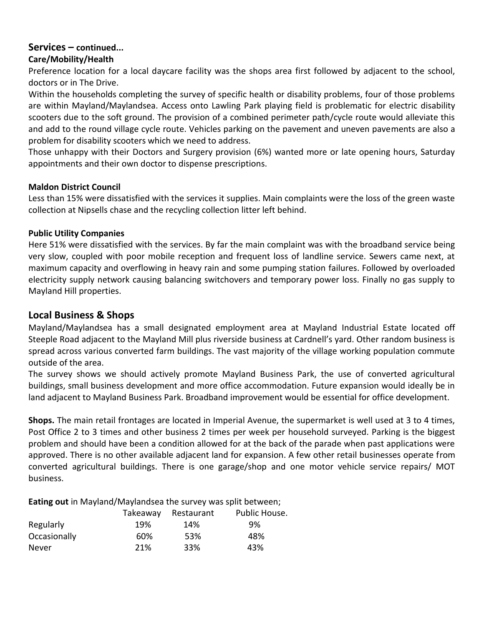#### **Services – continued... Care/Mobility/Health**

Preference location for a local daycare facility was the shops area first followed by adjacent to the school, doctors or in The Drive.

Within the households completing the survey of specific health or disability problems, four of those problems are within Mayland/Maylandsea. Access onto Lawling Park playing field is problematic for electric disability scooters due to the soft ground. The provision of a combined perimeter path/cycle route would alleviate this and add to the round village cycle route. Vehicles parking on the pavement and uneven pavements are also a problem for disability scooters which we need to address.

Those unhappy with their Doctors and Surgery provision (6%) wanted more or late opening hours, Saturday appointments and their own doctor to dispense prescriptions.

## **Maldon District Council**

Less than 15% were dissatisfied with the services it supplies. Main complaints were the loss of the green waste collection at Nipsells chase and the recycling collection litter left behind.

## **Public Utility Companies**

Here 51% were dissatisfied with the services. By far the main complaint was with the broadband service being very slow, coupled with poor mobile reception and frequent loss of landline service. Sewers came next, at maximum capacity and overflowing in heavy rain and some pumping station failures. Followed by overloaded electricity supply network causing balancing switchovers and temporary power loss. Finally no gas supply to Mayland Hill properties.

## **Local Business & Shops**

Mayland/Maylandsea has a small designated employment area at Mayland Industrial Estate located off Steeple Road adjacent to the Mayland Mill plus riverside business at Cardnell's yard. Other random business is spread across various converted farm buildings. The vast majority of the village working population commute outside of the area.

The survey shows we should actively promote Mayland Business Park, the use of converted agricultural buildings, small business development and more office accommodation. Future expansion would ideally be in land adjacent to Mayland Business Park. Broadband improvement would be essential for office development.

**Shops.** The main retail frontages are located in Imperial Avenue, the supermarket is well used at 3 to 4 times, Post Office 2 to 3 times and other business 2 times per week per household surveyed. Parking is the biggest problem and should have been a condition allowed for at the back of the parade when past applications were approved. There is no other available adjacent land for expansion. A few other retail businesses operate from converted agricultural buildings. There is one garage/shop and one motor vehicle service repairs/ MOT business.

**Eating out** in Mayland/Maylandsea the survey was split between;

|              | Takeaway | Restaurant | Public House. |
|--------------|----------|------------|---------------|
| Regularly    | 19%      | 14%        | 9%            |
| Occasionally | 60%      | 53%        | 48%           |
| Never        | 21%      | 33%        | 43%           |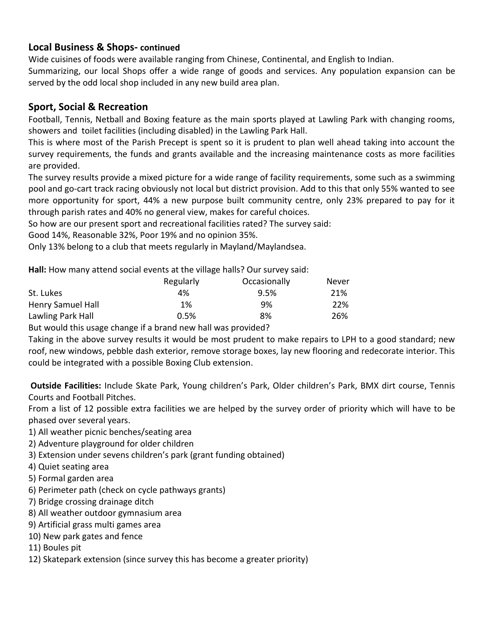## **Local Business & Shops- continued**

Wide cuisines of foods were available ranging from Chinese, Continental, and English to Indian.

Summarizing, our local Shops offer a wide range of goods and services. Any population expansion can be served by the odd local shop included in any new build area plan.

## **Sport, Social & Recreation**

Football, Tennis, Netball and Boxing feature as the main sports played at Lawling Park with changing rooms, showers and toilet facilities (including disabled) in the Lawling Park Hall.

This is where most of the Parish Precept is spent so it is prudent to plan well ahead taking into account the survey requirements, the funds and grants available and the increasing maintenance costs as more facilities are provided.

The survey results provide a mixed picture for a wide range of facility requirements, some such as a swimming pool and go-cart track racing obviously not local but district provision. Add to this that only 55% wanted to see more opportunity for sport, 44% a new purpose built community centre, only 23% prepared to pay for it through parish rates and 40% no general view, makes for careful choices.

So how are our present sport and recreational facilities rated? The survey said:

Good 14%, Reasonable 32%, Poor 19% and no opinion 35%.

Only 13% belong to a club that meets regularly in Mayland/Maylandsea.

**Hall:** How many attend social events at the village halls? Our survey said:

|                   | Regularly | Occasionally | Never |
|-------------------|-----------|--------------|-------|
| St. Lukes         | 4%        | 9.5%         | 21%   |
| Henry Samuel Hall | $1\%$     | 9%           | 22%   |
| Lawling Park Hall | 0.5%      | 8%           | 26%   |

But would this usage change if a brand new hall was provided?

Taking in the above survey results it would be most prudent to make repairs to LPH to a good standard; new roof, new windows, pebble dash exterior, remove storage boxes, lay new flooring and redecorate interior. This could be integrated with a possible Boxing Club extension.

**Outside Facilities:** Include Skate Park, Young children's Park, Older children's Park, BMX dirt course, Tennis Courts and Football Pitches.

From a list of 12 possible extra facilities we are helped by the survey order of priority which will have to be phased over several years.

- 1) All weather picnic benches/seating area
- 2) Adventure playground for older children
- 3) Extension under sevens children's park (grant funding obtained)
- 4) Quiet seating area
- 5) Formal garden area
- 6) Perimeter path (check on cycle pathways grants)
- 7) Bridge crossing drainage ditch
- 8) All weather outdoor gymnasium area
- 9) Artificial grass multi games area
- 10) New park gates and fence
- 11) Boules pit
- 12) Skatepark extension (since survey this has become a greater priority)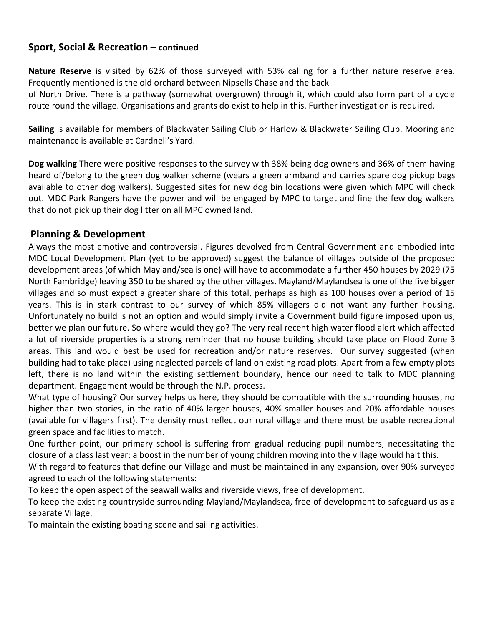## **Sport, Social & Recreation – continued**

**Nature Reserve** is visited by 62% of those surveyed with 53% calling for a further nature reserve area. Frequently mentioned is the old orchard between Nipsells Chase and the back

of North Drive. There is a pathway (somewhat overgrown) through it, which could also form part of a cycle route round the village. Organisations and grants do exist to help in this. Further investigation is required.

**Sailing** is available for members of Blackwater Sailing Club or Harlow & Blackwater Sailing Club. Mooring and maintenance is available at Cardnell's Yard.

**Dog walking** There were positive responses to the survey with 38% being dog owners and 36% of them having heard of/belong to the green dog walker scheme (wears a green armband and carries spare dog pickup bags available to other dog walkers). Suggested sites for new dog bin locations were given which MPC will check out. MDC Park Rangers have the power and will be engaged by MPC to target and fine the few dog walkers that do not pick up their dog litter on all MPC owned land.

## **Planning & Development**

Always the most emotive and controversial. Figures devolved from Central Government and embodied into MDC Local Development Plan (yet to be approved) suggest the balance of villages outside of the proposed development areas (of which Mayland/sea is one) will have to accommodate a further 450 houses by 2029 (75 North Fambridge) leaving 350 to be shared by the other villages. Mayland/Maylandsea is one of the five bigger villages and so must expect a greater share of this total, perhaps as high as 100 houses over a period of 15 years. This is in stark contrast to our survey of which 85% villagers did not want any further housing. Unfortunately no build is not an option and would simply invite a Government build figure imposed upon us, better we plan our future. So where would they go? The very real recent high water flood alert which affected a lot of riverside properties is a strong reminder that no house building should take place on Flood Zone 3 areas. This land would best be used for recreation and/or nature reserves. Our survey suggested (when building had to take place) using neglected parcels of land on existing road plots. Apart from a few empty plots left, there is no land within the existing settlement boundary, hence our need to talk to MDC planning department. Engagement would be through the N.P. process.

What type of housing? Our survey helps us here, they should be compatible with the surrounding houses, no higher than two stories, in the ratio of 40% larger houses, 40% smaller houses and 20% affordable houses (available for villagers first). The density must reflect our rural village and there must be usable recreational green space and facilities to match.

One further point, our primary school is suffering from gradual reducing pupil numbers, necessitating the closure of a class last year; a boost in the number of young children moving into the village would halt this.

With regard to features that define our Village and must be maintained in any expansion, over 90% surveyed agreed to each of the following statements:

To keep the open aspect of the seawall walks and riverside views, free of development.

To keep the existing countryside surrounding Mayland/Maylandsea, free of development to safeguard us as a separate Village.

To maintain the existing boating scene and sailing activities.